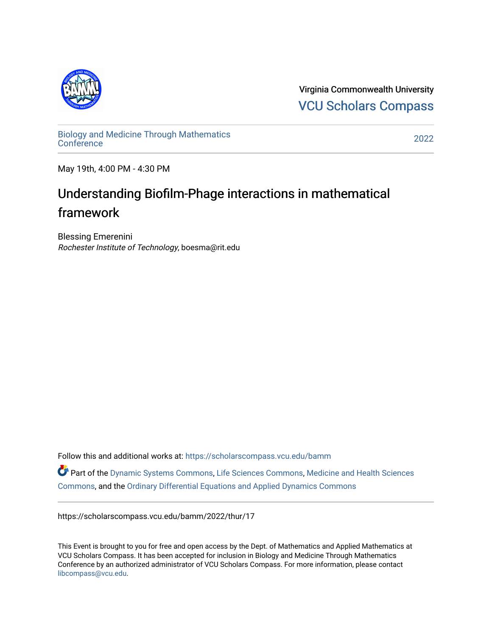

Virginia Commonwealth University [VCU Scholars Compass](https://scholarscompass.vcu.edu/) 

[Biology and Medicine Through Mathematics](https://scholarscompass.vcu.edu/bamm)  [Conference](https://scholarscompass.vcu.edu/bamm) [2022](https://scholarscompass.vcu.edu/bamm/2022) 

May 19th, 4:00 PM - 4:30 PM

## Understanding Biofilm-Phage interactions in mathematical framework

Blessing Emerenini Rochester Institute of Technology, boesma@rit.edu

Follow this and additional works at: [https://scholarscompass.vcu.edu/bamm](https://scholarscompass.vcu.edu/bamm?utm_source=scholarscompass.vcu.edu%2Fbamm%2F2022%2Fthur%2F17&utm_medium=PDF&utm_campaign=PDFCoverPages)

Part of the [Dynamic Systems Commons](http://network.bepress.com/hgg/discipline/117?utm_source=scholarscompass.vcu.edu%2Fbamm%2F2022%2Fthur%2F17&utm_medium=PDF&utm_campaign=PDFCoverPages), [Life Sciences Commons](http://network.bepress.com/hgg/discipline/1016?utm_source=scholarscompass.vcu.edu%2Fbamm%2F2022%2Fthur%2F17&utm_medium=PDF&utm_campaign=PDFCoverPages), [Medicine and Health Sciences](http://network.bepress.com/hgg/discipline/648?utm_source=scholarscompass.vcu.edu%2Fbamm%2F2022%2Fthur%2F17&utm_medium=PDF&utm_campaign=PDFCoverPages)  [Commons](http://network.bepress.com/hgg/discipline/648?utm_source=scholarscompass.vcu.edu%2Fbamm%2F2022%2Fthur%2F17&utm_medium=PDF&utm_campaign=PDFCoverPages), and the [Ordinary Differential Equations and Applied Dynamics Commons](http://network.bepress.com/hgg/discipline/121?utm_source=scholarscompass.vcu.edu%2Fbamm%2F2022%2Fthur%2F17&utm_medium=PDF&utm_campaign=PDFCoverPages) 

https://scholarscompass.vcu.edu/bamm/2022/thur/17

This Event is brought to you for free and open access by the Dept. of Mathematics and Applied Mathematics at VCU Scholars Compass. It has been accepted for inclusion in Biology and Medicine Through Mathematics Conference by an authorized administrator of VCU Scholars Compass. For more information, please contact [libcompass@vcu.edu.](mailto:libcompass@vcu.edu)